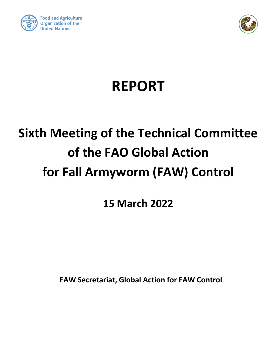



# **REPORT**

# **Sixth Meeting of the Technical Committee of the FAO Global Action for Fall Armyworm (FAW) Control**

**15 March 2022**

**FAW Secretariat, Global Action for FAW Control**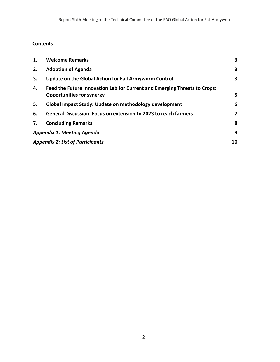## **Contents**

Control

| 1. | <b>Welcome Remarks</b>                                                                                        | 3  |
|----|---------------------------------------------------------------------------------------------------------------|----|
| 2. | <b>Adoption of Agenda</b>                                                                                     | 3  |
| 3. | Update on the Global Action for Fall Armyworm Control                                                         | 3  |
| 4. | Feed the Future Innovation Lab for Current and Emerging Threats to Crops:<br><b>Opportunities for synergy</b> | 5  |
| 5. | Global Impact Study: Update on methodology development                                                        | 6  |
| 6. | <b>General Discussion: Focus on extension to 2023 to reach farmers</b>                                        | 7  |
| 7. | <b>Concluding Remarks</b>                                                                                     | 8  |
|    | <b>Appendix 1: Meeting Agenda</b>                                                                             | 9  |
|    | <b>Appendix 2: List of Participants</b>                                                                       | 10 |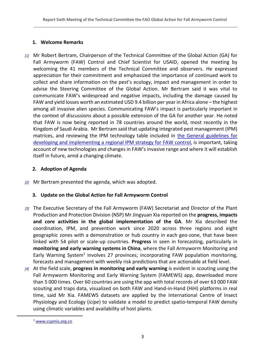### <span id="page-2-0"></span>**1. Welcome Remarks**

*[1]* Mr Robert Bertram, Chairperson of the Technical Committee of the Global Action (GA) for Fall Armyworm (FAW) Control and Chief Scientist for USAID, opened the meeting by welcoming the 41 members of the Technical Committee and observers. He expressed appreciation for their commitment and emphasized the importance of continued work to collect and share information on the pest's ecology, impact and management in order to advise the Steering Committee of the Global Action. Mr Bertram said it was vital to communicate FAW's widespread and negative impacts, including the damage caused by FAW and yield losses worth an estimated USD 9.4 billion per year in Africa alone – the highest among all invasive alien species. Communicating FAW's impact is particularly important in the context of discussions about a possible extension of the GA for another year. He noted that FAW is now being reported in 78 countries around the world, most recently in the Kingdom of Saudi Arabia. Mr Bertram said that updating integrated pest management (IPM) matrices, and reviewing the IPM technology table included in the General guidelines for [developing and implementing a regional IPM strategy for FAW](https://www.fao.org/publications/card/en/c/CB7549EN/) control, is important, taking account of new technologies and changes in FAW's invasive range and where it will establish itself in future, amid a changing climate.

## <span id="page-2-1"></span>**2. Adoption of Agenda**

<span id="page-2-2"></span>*[2]* Mr Bertram presented the agenda, which was adopted.

## **3. Update on the Global Action for Fall Armyworm Control**

- *[3]* The Executive Secretary of the Fall Armyworm (FAW) Secretariat and Director of the Plant Production and Protection Division (NSP) Mr Jingyuan Xia reported on the **progress, impacts and core activities in the global implementation of the GA**. Mr Xia described the coordination, IPM, and prevention work since 2020 across three regions and eight geographic zones with a demonstration or hub country in each geo-zone, that have been linked with 54 pilot or scale-up countries. **Progress** in seen in forecasting, particularly in **monitoring and early warning systems in China**, where the Fall Armyworm Monitoring and Early Warning System<sup>1</sup> involves 27 provinces; incorporating FAW population monitoring, forecasts and management with weekly risk predictions that are actionable at field level.
- *[4]* At the field scale, **progress in monitoring and early warning** is evident in scouting using the Fall Armyworm Monitoring and Early Warning System (FAMEWS) app, downloaded more than 5 000 times. Over 60 countries are using the app with total records of over 63 000 FAW scouting and traps data, visualized on both FAW and Hand-in-Hand (HiH) platforms in real time, said Mr Xia. FAMEWS datasets are applied by the International Centre of Insect Physiology and Ecology (*icipe*) to validate a model to predict spatio-temporal FAW density using climatic variables and availability of host plants.

<sup>1</sup> [www.ccpmis.org.cn](http://www.ccpmis.org.cn/)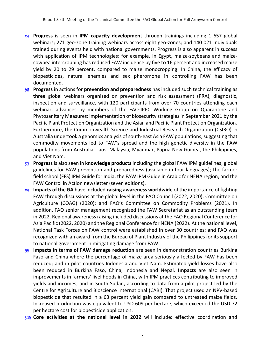- *[5]* **Progress** is seen in **IPM capacity developmen**t through trainings including 1 657 global webinars; 271 geo-zone training webinars across eight geo-zones; and 140 021 individuals trained during events held with national governments. Progress is also apparent in success with application of IPM technologies: for example, in Egypt, maize-soybeans and maizecowpea intercropping has reduced FAW incidence by five to 16 percent and increased maize yield by 20 to 29 percent, compared to maize monocropping. In China, the efficacy of biopesticides, natural enemies and sex pheromone in controlling FAW has been documented.
- *[6]* **Progress** in actions for **prevention and preparedness** has included such technical training as **three** global webinars organized on prevention and risk assessment (PRA), diagnostic, inspection and surveillance, with 120 participants from over 70 countries attending each webinar; advances by members of the FAO-IPPC Working Group on Quarantine and Phytosanitary Measures; implementation of biosecurity strategies in September 2021 by the Pacific Plant Protection Organization and the Asian and Pacific Plant Protection Organization. Furthermore, the Commonwealth Science and Industrial Research Organization (CSIRO) in Australia undertook a genomics analysis of south-east Asia FAW populations, suggesting that commodity movements led to FAW's spread and the high genetic diversity in the FAW populations from Australia, Laos, Malaysia, Myanmar, Papua New Guinea, the Philippines, and Viet Nam.
- *[7]* **Progress** is also seen in **knowledge products** including the global FAW IPM guidelines; global guidelines for FAW prevention and preparedness (available in four languages); the farmer field school (FFS) IPM Guide for India; the FAW IPM Guide in Arabic for NENA region; and the FAW Control in Action newsletter (seven editions).
- *[8]* **Impacts of the GA** have included **raising awareness worldwide** of the importance of fighting FAW through discussions at the global level in the FAO Council (2022, 2020); Committee on Agriculture (COAG) (2020); and FAO's Committee on Commodity Problems (2021). In addition, FAO senior management recognized the FAW Secretariat as an outstanding team in 2022. Regional awareness raising included discussions at the FAO Regional Conference for Asia Pacific (2022, 2020) and the Regional Conference for NENA (2022). At the national level, National Task Forces on FAW control were established in over 30 countries; and FAO was recognized with an award from the Bureau of Plant Industry of the Philippines for its support to national government in mitigating damage from FAW.
- *[9]* **Impacts in terms of FAW damage reduction** are seen in demonstration countries Burkina Faso and China where the percentage of maize area seriously affected by FAW has been reduced; and in pilot countries Indonesia and Viet Nam. Estimated yield losses have also been reduced in Burkina Faso, China, Indonesia and Nepal. **Impacts** are also seen in improvements in farmers' livelihoods in China, with IPM practices contributing to improved yields and incomes; and in South Sudan, according to data from a pilot project led by the Centre for Agriculture and Bioscience International (CABI). That project used an NPV-based biopesticide that resulted in a 63 percent yield gain compared to untreated maize fields. Increased production was equivalent to USD 609 per hectare, which exceeded the USD 72 per hectare cost for biopesticide application.
- *[10]* **Core activities at the national level in 2022** will include: effective coordination and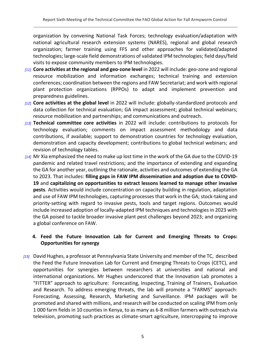organization by convening National Task Forces; technology evaluation/adaptation with national agricultural research extension systems (NARES), regional and global research organization; farmer training using FFS and other approaches for validated/adapted technologies; large-scale field demonstrations of validated IPM technologies; field days/field visits to expose community members to IPM technologies.

- *[11]* **Core activities at the regional and geo-zone level** in 2022 will include: geo-zone and regional resource mobilization and information exchanges; technical training and extension conferences; coordination between the regions and FAW Secretariat; and work with regional plant protection organizations (RPPOs) to adapt and implement prevention and preparedness guidelines.
- *[12]* **Core activities at the global level** in 2022 will include: globally-standardized protocols and data collection for technical evaluation; GA impact assessment; global technical webinars; resource mobilization and partnerships; and communications and outreach.
- *[13]* **Technical committee core activities** in 2022 will include: contributions to protocols for technology evaluation; comments on impact assessment methodology and data contributions, if available; support to demonstration countries for technology evaluation, demonstration and capacity development; contributions to global technical webinars; and revision of technology tables.
- *[14]* Mr Xia emphasized the need to make up lost time in the work of the GA due to the COVID-19 pandemic and related travel restrictions; and the importance of extending and expanding the GA for another year, outlining the rationale, activities and outcomes of extending the GA to 2023. That includes: **filling gaps in FAW IPM dissemination and adoption due to COVID-19** and **capitalizing on opportunities to extract lessons learned to manage other invasive pests**. Activities would include concentration on capacity building in regulation, adaptation and use of FAW IPM technologies, capturing processes that work in the GA; stock-taking and priority-setting with regard to invasive pests, tools and target regions. Outcomes would include increased adoption of locally-adapted IPM techniques and technologies in 2023 with the GA poised to tackle broader invasive plant pest challenges beyond 2023; and organizing a global conference on FAW.

## <span id="page-4-0"></span>**4. Feed the Future Innovation Lab for Current and Emerging Threats to Crops: Opportunities for synergy**

*[15]* David Hughes, a professor at Pennsylvania State University and member of the TC, described the Feed the Future Innovation Lab for Current and Emerging Threats to Crops (CETC), and opportunities for synergies between researchers at universities and national and international organizations. Mr Hughes underscored that the Innovation Lab promotes a "FITTER" approach to agriculture: Forecasting, Inspecting, Training of Trainers, Evaluation and Research. To address emerging threats, the lab will promote a "FARMS" approach: Forecasting, Assessing, Research, Marketing and Surveillance. IPM packages will be promoted and shared with millions, and research will be conducted on scaling IPM from only 1 000 farm fields in 10 counties in Kenya, to as many as 6-8 million farmers with outreach via television, promoting such practices as climate-smart agriculture, intercropping to improve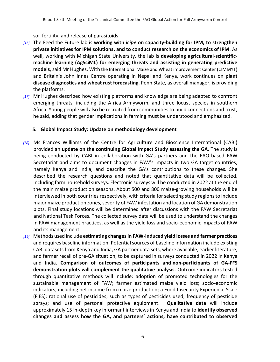soil fertility, and release of parasitoids.

- *[16]* The Feed the Future lab is **working with** *icipe* **on capacity-building for IPM, to strengthen private initiatives for IPM solutions, and to conduct research on the economics of IPM**. As well, working with Michigan State University, the lab is **developing agricultural-scientificmachine learning (AgSciML) for emerging threats and assisting in generating predictive models**, said Mr Hughes. With the International Maize and Wheat improvement Center (CIMMYT) and Britain's John Innes Centre operating in Nepal and Kenya, work continues on **plant disease diagnostics and wheat rust forecasting**. Penn State, as overall manager, is providing the platforms.
- *[17]* Mr Hughes described how existing platforms and knowledge are being adapted to confront emerging threats, including the Africa Armyworm, and three locust species in southern Africa. Young people will also be recruited from communities to build connections and trust, he said, adding that gender implications in farming must be understood and emphasized.

## <span id="page-5-0"></span>**5. Global Impact Study: Update on methodology development**

- *[18]* Ms Frances Williams of the Centre for Agriculture and Bioscience International (CABI) provided an **update on the continuing Global Impact Study assessing the GA**. The study is being conducted by CABI in collaboration with GA's partners and the FAO-based FAW Secretariat and aims to document changes in FAW's impacts in two GA target countries, namely Kenya and India, and describe the GA's contributions to these changes. She described the research questions and noted that quantitative data will be collected, including farm household surveys. Electronic surveys will be conducted in 2022 at the end of the main maize production seasons. About 500 and 800 maize-growing households will be interviewed in both countries respectively, with criteria for selecting study regions to include major maize production zones, severity of FAW infestation and location of GA demonstration plots. Final study locations will be determined after discussions with the FAW Secretariat and National Task Forces. The collected survey data will be used to understand the changes in FAW management practices, as well as the yield loss and socio-economic impacts of FAW and its management.
- *[19]* Methods used include **estimating changes in FAW-induced yield losses and farmer practices**  and requires baseline information. Potential sources of baseline information include existing CABI datasets from Kenya and India, GA partner data sets, where available, earlier literature, and farmer recall of pre-GA situation, to be captured in surveys conducted in 2022 in Kenya and India. **Comparison of outcomes of participants and non-participants of GA-FFS demonstration plots will complement the qualitative analysis**. Outcome indicators tested through quantitative methods will include: adoption of promoted technologies for the sustainable management of FAW; farmer estimated maize yield loss; socio-economic indicators, including net income from maize production; a Food Insecurity Experience Scale (FIES); rational use of pesticides; such as types of pesticides used; frequency of pesticide sprays; and use of personal protective equipment. **Qualitative data** will include approximately 15 in-depth key informant interviews in Kenya and India to **identify observed changes and assess how the GA, and partners' actions, have contributed to observed**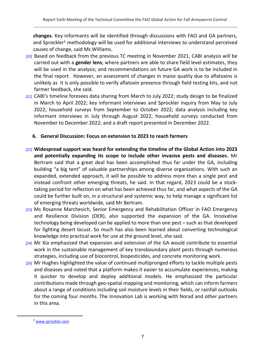**changes**. Key informants will be identified through discussions with FAO and GA partners, and Sprockler<sup>2</sup> methodology will be used for additional interviews to understand perceived causes of change, said Ms Williams.

- *[20]* Based on feedback from the previous TC meeting in November 2021, CABI analysis will be carried out with a **gender lens**; where partners are able to share field level estimates, they will be used in the analysis; and recommendations on future GA work is to be included in the final report. However, an assessment of changes in maize quality due to aflatoxins is unlikely as it is only possible to verify aflatoxin presence through field testing kits, and not farmer feedback, she said.
- *[21]* CABI's timeline foresees data sharing from March to July 2022; study design to be finalized in March to April 2022; key informant interviews and Sprockler inquiry from May to July 2022; household surveys from September to October 2022; data analysis including key informant interviews in July through August 2022; household surveys conducted from November to December 2022; and a draft report presented in December 2022.

### <span id="page-6-0"></span>**6. General Discussion: Focus on extension to 2023 to reach farmers**

- *[22]* **Widespread support was heard for extending the timeline of the Global Action into 2023 and potentially expanding its scope to include other invasive pests and diseases.** Mr Bertram said that a great deal has been accomplished thus far under the GA, including building "a big tent" of valuable partnerships among diverse organizations. With such an expanded, extended approach, it will be possible to address more than a single pest and instead confront other emerging threats, he said. In that regard, 2023 could be a stocktaking period for reflection on what has been achieved thus far, and what aspects of the GA could be further built on, in a structural and systemic way, to help manage a significant list of emerging threats worldwide, said Mr Bertram.
- *[23]* Ms Rosanne Marchesich, Senior Emergency and Rehabilitation Officer in FAO Emergency and Resilience Division (OER), also supported the expansion of the GA. Innovative technology being developed can be applied to more than one pest – such as that developed for fighting desert locust. So much has also been learned about converting technological knowledge into practical work for use at the ground level, she said.
- *[24]* Mr Xia emphasized that expansion and extension of the GA would contribute to essential work in the sustainable management of key transboundary plant pests through numerous strategies, including use of biocontrol, biopesticides, and concrete monitoring work.
- *[25]* Mr Hughes highlighted the value of continued multipronged efforts to tackle multiple pests and diseases and noted that a platform makes it easier to accumulate experiences, making it quicker to develop and deploy additional models. He emphasized the particular contributions made through geo-spatial mapping and monitoring, which can inform farmers about a range of conditions including soil moisture levels in their fields, or rainfall outlooks for the coming four months. The Innovation Lab is working with Norad and other partners in this area.

<sup>2</sup> [www.sprockler.com](http://www.sprockler.com/)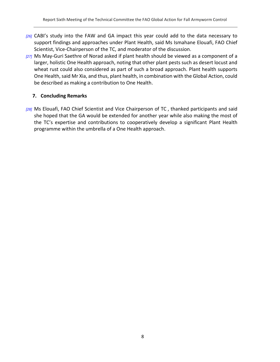- *[26]* CABI's study into the FAW and GA impact this year could add to the data necessary to support findings and approaches under Plant Health, said Ms Ismahane Elouafi, FAO Chief Scientist, Vice-Chairperson of the TC, and moderator of the discussion.
- *[27]* Ms May-Guri Saethre of Norad asked if plant health should be viewed as a component of a larger, holistic One Health approach, noting that other plant pests such as desert locust and wheat rust could also considered as part of such a broad approach. Plant health supports One Health, said Mr Xia, and thus, plant health, in combination with the Global Action, could be described as making a contribution to One Health.

### <span id="page-7-0"></span>**7. Concluding Remarks**

*[28]* Ms Elouafi, FAO Chief Scientist and Vice Chairperson of TC , thanked participants and said she hoped that the GA would be extended for another year while also making the most of the TC's expertise and contributions to cooperatively develop a significant Plant Health programme within the umbrella of a One Health approach.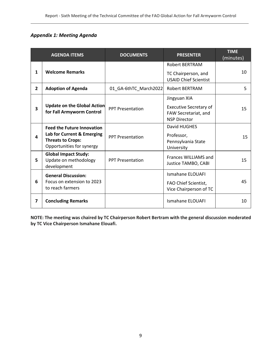## <span id="page-8-0"></span>*Appendix 1: Meeting Agenda*

|                | <b>AGENDA ITEMS</b>                                                                                                      | <b>DOCUMENTS</b>        | <b>PRESENTER</b>                                                                             | <b>TIME</b><br>(minutes) |
|----------------|--------------------------------------------------------------------------------------------------------------------------|-------------------------|----------------------------------------------------------------------------------------------|--------------------------|
| 1              | <b>Welcome Remarks</b>                                                                                                   |                         | <b>Robert BERTRAM</b><br>TC Chairperson, and<br><b>USAID Chief Scientist</b>                 | 10                       |
| $\overline{2}$ | <b>Adoption of Agenda</b>                                                                                                | 01_GA-6thTC_March2022   | <b>Robert BERTRAM</b>                                                                        | 5.                       |
| 3              | <b>Update on the Global Action</b><br>for Fall Armyworm Control                                                          | <b>PPT Presentation</b> | Jingyuan XIA<br><b>Executive Secretary of</b><br>FAW Secretariat, and<br><b>NSP Director</b> | 15                       |
| 4              | <b>Feed the Future Innovation</b><br>Lab for Current & Emerging<br><b>Threats to Crops:</b><br>Opportunities for synergy | <b>PPT Presentation</b> | David HUGHES<br>Professor,<br>Pennsylvania State<br>University                               | 15                       |
| 5              | <b>Global Impact Study:</b><br>Update on methodology<br>development                                                      | <b>PPT Presentation</b> | Frances WILLIAMS and<br>Justice TAMBO, CABI                                                  | 15                       |
| 6              | <b>General Discussion:</b><br>Focus on extension to 2023<br>to reach farmers                                             |                         | <b>Ismahane ELOUAFI</b><br>FAO Chief Scientist,<br>Vice Chairperson of TC                    | 45                       |
| 7              | <b>Concluding Remarks</b>                                                                                                |                         | <b>Ismahane ELOUAFI</b>                                                                      | 10                       |

**NOTE: The meeting was chaired by TC Chairperson Robert Bertram with the general discussion moderated by TC Vice Chairperson Ismahane Elouafi.**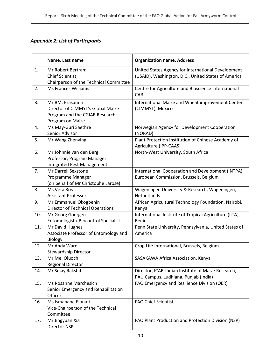## <span id="page-9-0"></span>*Appendix 2: List of Participants*

|     | Name, Last name                                                                                            | <b>Organization name, Address</b>                                                                         |
|-----|------------------------------------------------------------------------------------------------------------|-----------------------------------------------------------------------------------------------------------|
| 1.  | Mr Robert Bertram<br>Chief Scientist,<br>Chairperson of the Technical Committee                            | United States Agency for International Development<br>(USAID), Washington, D.C., United States of America |
| 2.  | <b>Ms Frances Williams</b>                                                                                 | Centre for Agriculture and Bioscience International<br>CABI                                               |
| 3.  | Mr BM. Prasanna<br>Director of CIMMYT's Global Maize<br>Program and the CGIAR Research<br>Program on Maize | International Maize and Wheat improvement Center<br>(CIMMYT), Mexico                                      |
| 4.  | Ms May-Guri Saethre<br>Senior Advisor                                                                      | Norwegian Agency for Development Cooperation<br>(NORAD)                                                   |
| 5.  | Mr Wang Zhenying                                                                                           | Plant Protection Institution of Chinese Academy of<br>Agriculture (IPP-CAAS)                              |
| 6.  | Mr Johnnie van den Berg<br>Professor; Program Manager:<br><b>Integrated Pest Management</b>                | North-West University, South Africa                                                                       |
| 7.  | Mr Darrell Sexstone<br>Programme Manager<br>(on behalf of Mr Christophe Larose)                            | International Cooperation and Development (INTPA),<br>European Commission, Brussels, Belgium              |
| 8.  | Ms Vera Ros<br><b>Assistant Professor</b>                                                                  | Wageningen University & Research, Wageningen,<br>Netherlands                                              |
| 9.  | Mr Emmanuel Okogbenin<br><b>Director of Technical Operations</b>                                           | African Agricultural Technology Foundation, Nairobi,<br>Kenya                                             |
| 10. | Mr Georg Goergen<br>Entomologist / Biocontrol Specialist                                                   | International Institute of Tropical Agriculture (IITA),<br>Benin                                          |
| 11. | Mr David Hughes<br>Associate Professor of Entomology and<br><b>Biology</b>                                 | Penn State University, Pennsylvania, United States of<br>America                                          |
| 12. | Mr Andy Ward<br><b>Stewardship Director</b>                                                                | Crop Life International, Brussels, Belgium                                                                |
| 13. | Mr Mel Oluoch<br><b>Regional Director</b>                                                                  | SASAKAWA Africa Association, Kenya                                                                        |
| 14. | Mr Sujay Rakshit                                                                                           | Director, ICAR-Indian Institute of Maize Research,<br>PAU Campus, Ludhiana, Punjab (India)                |
| 15. | Ms Rosanne Marchesich<br>Senior Emergency and Rehabilitation<br>Officer                                    | FAO Emergency and Resilience Division (OER)                                                               |
| 16. | Ms Ismahane Elouafi<br>Vice-Chairperson of the Technical<br>Committee                                      | <b>FAO Chief Scientist</b>                                                                                |
| 17. | Mr Jingyuan Xia<br>Director NSP                                                                            | FAO Plant Production and Protection Division (NSP)                                                        |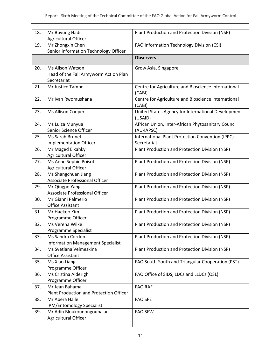| 18. | Mr Buyung Hadi<br>Agricultural Officer                                   | Plant Production and Protection Division (NSP)                   |
|-----|--------------------------------------------------------------------------|------------------------------------------------------------------|
| 19. | Mr Zhongxin Chen<br>Senior Information Technology Officer                | FAO Information Technology Division (CSI)                        |
|     |                                                                          | <b>Observers</b>                                                 |
| 20. | Ms Alison Watson<br>Head of the Fall Armyworm Action Plan<br>Secretariat | Grow Asia, Singapore                                             |
| 21. | Mr Justice Tambo                                                         | Centre for Agriculture and Bioscience International<br>(CABI)    |
| 22. | Mr Ivan Rwomushana                                                       | Centre for Agriculture and Bioscience International<br>(CABI)    |
| 23. | Ms Allison Cooper                                                        | United States Agency for International Development<br>(USAID)    |
| 24. | Ms Luiza Munyua<br>Senior Science Officer                                | African Union, Inter-African Phytosanitary Council<br>(AU-IAPSC) |
| 25. | Ms Sarah Brunel<br><b>Implementation Officer</b>                         | International Plant Protection Convention (IPPC)<br>Secretariat  |
| 26. | Mr Maged Elkahky<br>Agricultural Officer                                 | Plant Production and Protection Division (NSP)                   |
| 27. | Ms Anne Sophie Poisot<br>Agricultural Officer                            | Plant Production and Protection Division (NSP)                   |
| 28. | Ms Shangchuan Jiang<br>Associate Professional Officer                    | Plant Production and Protection Division (NSP)                   |
| 29. | Mr Qingpo Yang<br>Associate Professional Officer                         | Plant Production and Protection Division (NSP)                   |
| 30. | Mr Gianni Palmerio<br><b>Office Assistant</b>                            | Plant Production and Protection Division (NSP)                   |
| 31. | Mr Haekoo Kim                                                            | Plant Production and Protection Division (NSP)                   |
| 32. | Programme Officer<br>Ms Verena Wilke                                     | Plant Production and Protection Division (NSP)                   |
| 33. | Programme Specialist<br>Ms Sandra Cordon                                 | Plant Production and Protection Division (NSP)                   |
| 34. | <b>Information Management Specialist</b><br>Ms Svetlana Velmeskina       | Plant Production and Protection Division (NSP)                   |
| 35. | Office Assistant<br>Ms Xiao Liang                                        | FAO South-South and Triangular Cooperation (PST)                 |
| 36. | Programme Officer<br>Ms Cristina Alderighi                               | FAO Office of SIDS, LDCs and LLDCs (OSL)                         |
| 37. | Programme Officer<br>Mr Jean Bahama                                      | <b>FAO RAF</b>                                                   |
| 38. | Plant Production and Protection Officer<br>Mr Abera Haile                | <b>FAO SFE</b>                                                   |
| 39. | IPM/Entomology Specialist<br>Mr Adin Bloukounongoubalan                  | <b>FAO SFW</b>                                                   |
|     | Agricultural Officer                                                     |                                                                  |